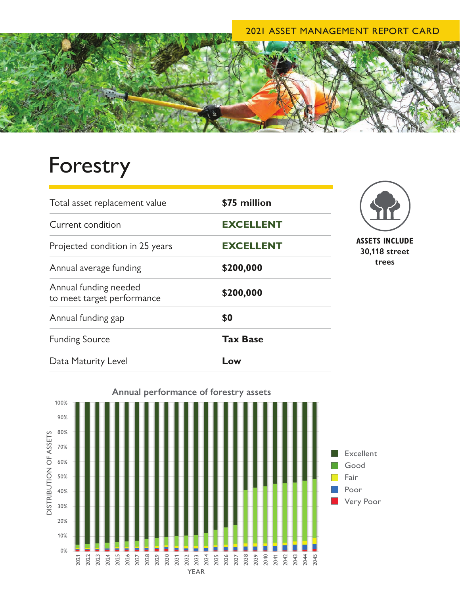## 2021 ASSET MANAGEMENT REPORT CARD



## Forestry

| Total asset replacement value                       | \$75 million     |
|-----------------------------------------------------|------------------|
| Current condition                                   | <b>EXCELLENT</b> |
| Projected condition in 25 years                     | <b>EXCELLENT</b> |
| Annual average funding                              | \$200,000        |
| Annual funding needed<br>to meet target performance | \$200,000        |
| Annual funding gap                                  | \$0              |
| <b>Funding Source</b>                               | <b>Tax Base</b>  |
| Data Maturity Level                                 | Low              |



**30,118 street trees**